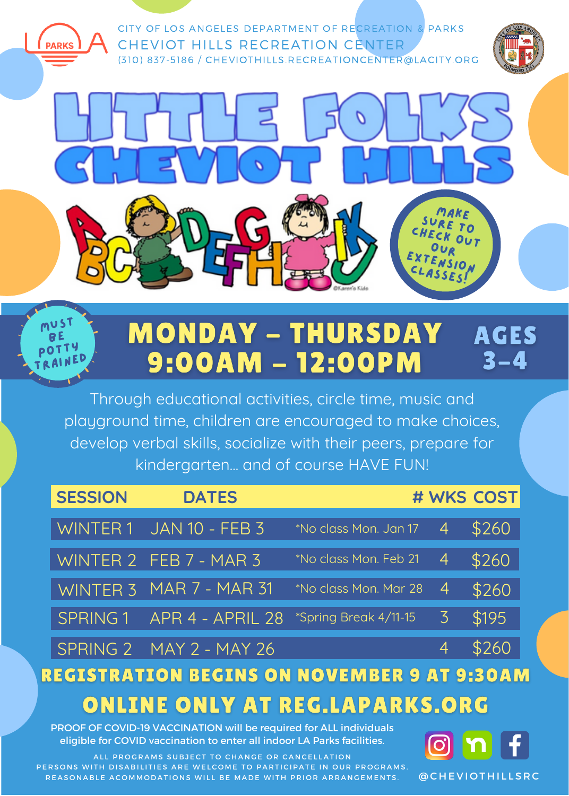



## **MONDAY - THURSDAY AGES** 9:00AM - 12:00PM  $3 - 4$

Through educational activities, circle time, music and playground time, children are encouraged to make choices, develop verbal skills, socialize with their peers, prepare for kindergarten... and of course HAVE FUN!

| <b>SESSION</b> | <b>DATES</b>              |                       |                | # WKS COST |
|----------------|---------------------------|-----------------------|----------------|------------|
|                | WINTER 1 JAN 10 - FEB 3   | *No class Mon. Jan 17 | 4              | \$260      |
|                | WINTER 2 FEB 7 - MAR 3    | *No class Mon. Feb 21 | $\overline{4}$ | \$260      |
|                | WINTER 3 MAR 7 - MAR 31   | No class Mon. Mar 28  | 4              | \$260      |
|                | SPRING 1 APR 4 - APRIL 28 | *Spring Break 4/11-15 | $\mathcal{Z}$  | \$195      |
|                | $SPRING 2$ MAY 2 - MAY 26 |                       | 4              | \$260      |

## **REGISTRATION BEGINS ON NOVEMBER 9 AT 9:30AM ONLINE ONLY AT REG.LAPARKS.ORG**

PROOF OF COVID-19 VACCINATION will be required for ALL individuals eligible for COVID vaccination to enter all indoor LA Parks facilities.

ALL PROGRAMS SUBJECT TO CHANGE OR CANCELLATION PERSONS WITH DISABILITIES ARE WELCOME TO PARTICIPATE IN OUR PROGRAMS. REASONABLE ACOMMODATIONS WILL BE MADE WITH PRIOR ARRANGEMENTS



**@ CHEVIOTHILLSRC**